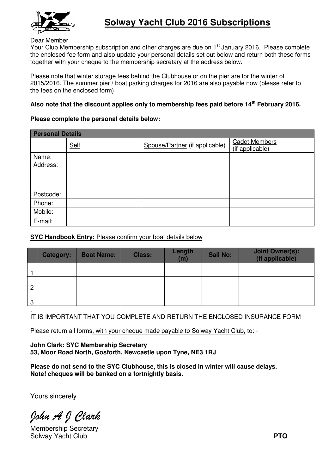

## Dear Member

Your Club Membership subscription and other charges are due on 1<sup>st</sup> January 2016. Please complete the enclosed fee form and also update your personal details set out below and return both these forms together with your cheque to the membership secretary at the address below.

Please note that winter storage fees behind the Clubhouse or on the pier are for the winter of 2015/2016. The summer pier / boat parking charges for 2016 are also payable now (please refer to the fees on the enclosed form)

## Also note that the discount applies only to membership fees paid before 14<sup>th</sup> February 2016.

## **Please complete the personal details below:**

| <b>Personal Details</b> |             |                                |                                         |  |  |  |  |  |
|-------------------------|-------------|--------------------------------|-----------------------------------------|--|--|--|--|--|
|                         | <b>Self</b> | Spouse/Partner (if applicable) | <b>Cadet Members</b><br>(if applicable) |  |  |  |  |  |
| Name:                   |             |                                |                                         |  |  |  |  |  |
| Address:                |             |                                |                                         |  |  |  |  |  |
|                         |             |                                |                                         |  |  |  |  |  |
|                         |             |                                |                                         |  |  |  |  |  |
| Postcode:               |             |                                |                                         |  |  |  |  |  |
| Phone:                  |             |                                |                                         |  |  |  |  |  |
| Mobile:                 |             |                                |                                         |  |  |  |  |  |
| E-mail:                 |             |                                |                                         |  |  |  |  |  |

## **SYC Handbook Entry: Please confirm your boat details below**

|                | <b>Category:</b> | <b>Boat Name:</b> | <b>Class:</b> | Length<br>(m) | <b>Sail No:</b> | <b>Joint Owner(s):</b><br>(if applicable) |
|----------------|------------------|-------------------|---------------|---------------|-----------------|-------------------------------------------|
|                |                  |                   |               |               |                 |                                           |
| $\overline{2}$ |                  |                   |               |               |                 |                                           |
| 3              |                  |                   |               |               |                 |                                           |

. IT IS IMPORTANT THAT YOU COMPLETE AND RETURN THE ENCLOSED INSURANCE FORM

Please return all forms, with your cheque made payable to Solway Yacht Club, to: -

**John Clark: SYC Membership Secretary Secretary 53, Moor Road North, Gosforth, Newcastle upon Tyne, NE3 1RJ**

Please do not send to the SYC Clubhouse, this is closed in winter will cause delays. **Note! cheques will be banked on a fortnightly basis.**

Yours sincerely

John A J Clark

Membership Secretary Solway Yacht Club